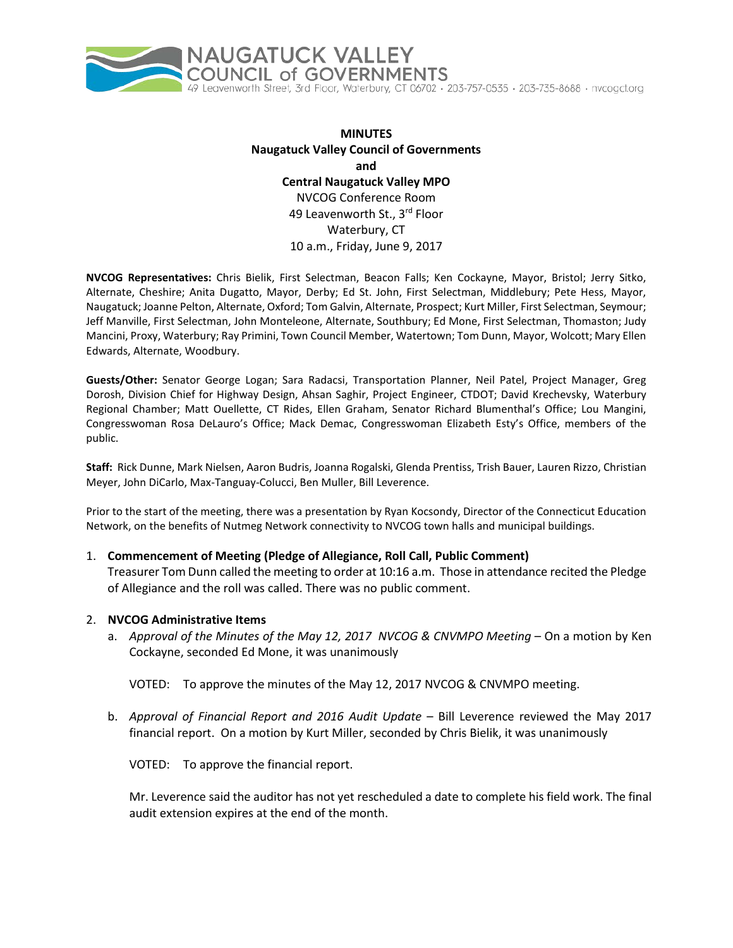

**MINUTES Naugatuck Valley Council of Governments and Central Naugatuck Valley MPO** NVCOG Conference Room 49 Leavenworth St., 3<sup>rd</sup> Floor Waterbury, CT 10 a.m., Friday, June 9, 2017

**NVCOG Representatives:** Chris Bielik, First Selectman, Beacon Falls; Ken Cockayne, Mayor, Bristol; Jerry Sitko, Alternate, Cheshire; Anita Dugatto, Mayor, Derby; Ed St. John, First Selectman, Middlebury; Pete Hess, Mayor, Naugatuck; Joanne Pelton, Alternate, Oxford; Tom Galvin, Alternate, Prospect; Kurt Miller, First Selectman, Seymour; Jeff Manville, First Selectman, John Monteleone, Alternate, Southbury; Ed Mone, First Selectman, Thomaston; Judy Mancini, Proxy, Waterbury; Ray Primini, Town Council Member, Watertown; Tom Dunn, Mayor, Wolcott; Mary Ellen Edwards, Alternate, Woodbury.

**Guests/Other:** Senator George Logan; Sara Radacsi, Transportation Planner, Neil Patel, Project Manager, Greg Dorosh, Division Chief for Highway Design, Ahsan Saghir, Project Engineer, CTDOT; David Krechevsky, Waterbury Regional Chamber; Matt Ouellette, CT Rides, Ellen Graham, Senator Richard Blumenthal's Office; Lou Mangini, Congresswoman Rosa DeLauro's Office; Mack Demac, Congresswoman Elizabeth Esty's Office, members of the public.

**Staff:** Rick Dunne, Mark Nielsen, Aaron Budris, Joanna Rogalski, Glenda Prentiss, Trish Bauer, Lauren Rizzo, Christian Meyer, John DiCarlo, Max-Tanguay-Colucci, Ben Muller, Bill Leverence.

Prior to the start of the meeting, there was a presentation by Ryan Kocsondy, Director of the Connecticut Education Network, on the benefits of Nutmeg Network connectivity to NVCOG town halls and municipal buildings.

### 1. **Commencement of Meeting (Pledge of Allegiance, Roll Call, Public Comment)**

Treasurer Tom Dunn called the meeting to order at 10:16 a.m. Those in attendance recited the Pledge of Allegiance and the roll was called. There was no public comment.

### 2. **NVCOG Administrative Items**

a. *Approval of the Minutes of the May 12, 2017 NVCOG & CNVMPO Meeting* – On a motion by Ken Cockayne, seconded Ed Mone, it was unanimously

VOTED: To approve the minutes of the May 12, 2017 NVCOG & CNVMPO meeting.

b. *Approval of Financial Report and 2016 Audit Update* – Bill Leverence reviewed the May 2017 financial report. On a motion by Kurt Miller, seconded by Chris Bielik, it was unanimously

VOTED: To approve the financial report.

Mr. Leverence said the auditor has not yet rescheduled a date to complete his field work. The final audit extension expires at the end of the month.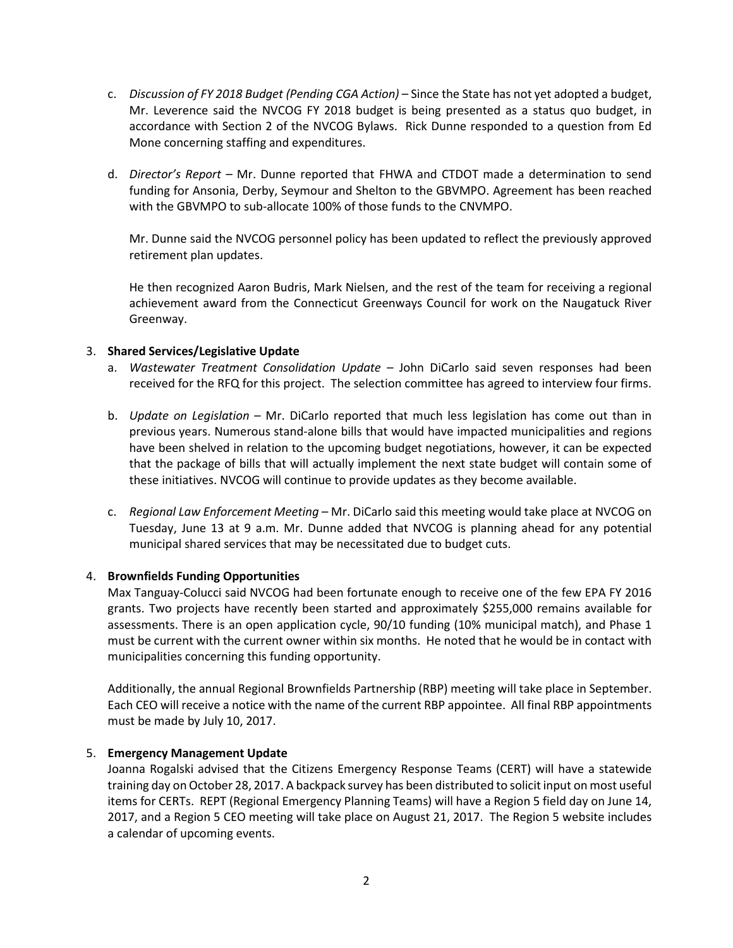- c. *Discussion of FY 2018 Budget (Pending CGA Action)* Since the State has not yet adopted a budget, Mr. Leverence said the NVCOG FY 2018 budget is being presented as a status quo budget, in accordance with Section 2 of the NVCOG Bylaws. Rick Dunne responded to a question from Ed Mone concerning staffing and expenditures.
- d. *Director's Report –* Mr. Dunne reported that FHWA and CTDOT made a determination to send funding for Ansonia, Derby, Seymour and Shelton to the GBVMPO. Agreement has been reached with the GBVMPO to sub-allocate 100% of those funds to the CNVMPO.

Mr. Dunne said the NVCOG personnel policy has been updated to reflect the previously approved retirement plan updates.

He then recognized Aaron Budris, Mark Nielsen, and the rest of the team for receiving a regional achievement award from the Connecticut Greenways Council for work on the Naugatuck River Greenway.

# 3. **Shared Services/Legislative Update**

- a. *Wastewater Treatment Consolidation Update* John DiCarlo said seven responses had been received for the RFQ for this project. The selection committee has agreed to interview four firms.
- b. *Update on Legislation* Mr. DiCarlo reported that much less legislation has come out than in previous years. Numerous stand-alone bills that would have impacted municipalities and regions have been shelved in relation to the upcoming budget negotiations, however, it can be expected that the package of bills that will actually implement the next state budget will contain some of these initiatives. NVCOG will continue to provide updates as they become available.
- c. *Regional Law Enforcement Meeting* Mr. DiCarlo said this meeting would take place at NVCOG on Tuesday, June 13 at 9 a.m. Mr. Dunne added that NVCOG is planning ahead for any potential municipal shared services that may be necessitated due to budget cuts.

### 4. **Brownfields Funding Opportunities**

Max Tanguay-Colucci said NVCOG had been fortunate enough to receive one of the few EPA FY 2016 grants. Two projects have recently been started and approximately \$255,000 remains available for assessments. There is an open application cycle, 90/10 funding (10% municipal match), and Phase 1 must be current with the current owner within six months. He noted that he would be in contact with municipalities concerning this funding opportunity.

Additionally, the annual Regional Brownfields Partnership (RBP) meeting will take place in September. Each CEO will receive a notice with the name of the current RBP appointee. All final RBP appointments must be made by July 10, 2017.

### 5. **Emergency Management Update**

Joanna Rogalski advised that the Citizens Emergency Response Teams (CERT) will have a statewide training day on October 28, 2017. A backpack survey has been distributed to solicit input on most useful items for CERTs. REPT (Regional Emergency Planning Teams) will have a Region 5 field day on June 14, 2017, and a Region 5 CEO meeting will take place on August 21, 2017. The Region 5 website includes a calendar of upcoming events.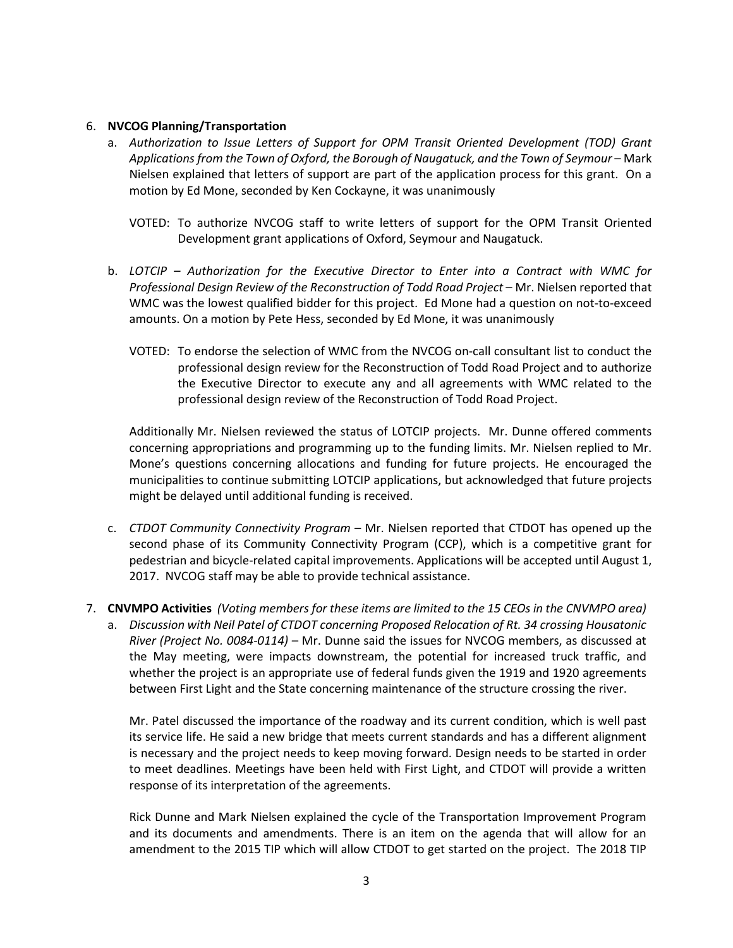## 6. **NVCOG Planning/Transportation**

- a. *Authorization to Issue Letters of Support for OPM Transit Oriented Development (TOD) Grant Applications from the Town of Oxford, the Borough of Naugatuck, and the Town of Seymour* – Mark Nielsen explained that letters of support are part of the application process for this grant. On a motion by Ed Mone, seconded by Ken Cockayne, it was unanimously
	- VOTED: To authorize NVCOG staff to write letters of support for the OPM Transit Oriented Development grant applications of Oxford, Seymour and Naugatuck.
- b. *LOTCIP – Authorization for the Executive Director to Enter into a Contract with WMC for Professional Design Review of the Reconstruction of Todd Road Project* – Mr. Nielsen reported that WMC was the lowest qualified bidder for this project. Ed Mone had a question on not-to-exceed amounts. On a motion by Pete Hess, seconded by Ed Mone, it was unanimously
	- VOTED: To endorse the selection of WMC from the NVCOG on-call consultant list to conduct the professional design review for the Reconstruction of Todd Road Project and to authorize the Executive Director to execute any and all agreements with WMC related to the professional design review of the Reconstruction of Todd Road Project.

Additionally Mr. Nielsen reviewed the status of LOTCIP projects. Mr. Dunne offered comments concerning appropriations and programming up to the funding limits. Mr. Nielsen replied to Mr. Mone's questions concerning allocations and funding for future projects. He encouraged the municipalities to continue submitting LOTCIP applications, but acknowledged that future projects might be delayed until additional funding is received.

- c. *CTDOT Community Connectivity Program* Mr. Nielsen reported that CTDOT has opened up the second phase of its Community Connectivity Program (CCP), which is a competitive grant for pedestrian and bicycle-related capital improvements. Applications will be accepted until August 1, 2017. NVCOG staff may be able to provide technical assistance.
- 7. **CNVMPO Activities** *(Voting members for these items are limited to the 15 CEOs in the CNVMPO area)*
	- a. *Discussion with Neil Patel of CTDOT concerning Proposed Relocation of Rt. 34 crossing Housatonic River (Project No. 0084-0114)* – Mr. Dunne said the issues for NVCOG members, as discussed at the May meeting, were impacts downstream, the potential for increased truck traffic, and whether the project is an appropriate use of federal funds given the 1919 and 1920 agreements between First Light and the State concerning maintenance of the structure crossing the river.

Mr. Patel discussed the importance of the roadway and its current condition, which is well past its service life. He said a new bridge that meets current standards and has a different alignment is necessary and the project needs to keep moving forward. Design needs to be started in order to meet deadlines. Meetings have been held with First Light, and CTDOT will provide a written response of its interpretation of the agreements.

Rick Dunne and Mark Nielsen explained the cycle of the Transportation Improvement Program and its documents and amendments. There is an item on the agenda that will allow for an amendment to the 2015 TIP which will allow CTDOT to get started on the project. The 2018 TIP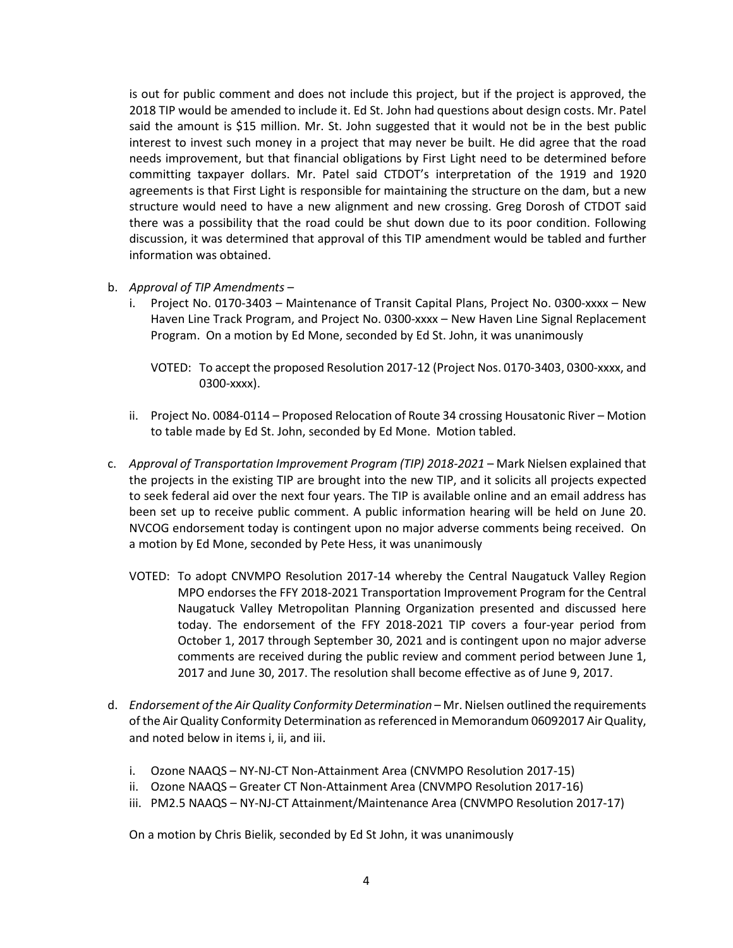is out for public comment and does not include this project, but if the project is approved, the 2018 TIP would be amended to include it. Ed St. John had questions about design costs. Mr. Patel said the amount is \$15 million. Mr. St. John suggested that it would not be in the best public interest to invest such money in a project that may never be built. He did agree that the road needs improvement, but that financial obligations by First Light need to be determined before committing taxpayer dollars. Mr. Patel said CTDOT's interpretation of the 1919 and 1920 agreements is that First Light is responsible for maintaining the structure on the dam, but a new structure would need to have a new alignment and new crossing. Greg Dorosh of CTDOT said there was a possibility that the road could be shut down due to its poor condition. Following discussion, it was determined that approval of this TIP amendment would be tabled and further information was obtained.

- b. *Approval of TIP Amendments*
	- i. Project No. 0170-3403 Maintenance of Transit Capital Plans, Project No. 0300-xxxx New Haven Line Track Program, and Project No. 0300-xxxx – New Haven Line Signal Replacement Program. On a motion by Ed Mone, seconded by Ed St. John, it was unanimously
		- VOTED: To accept the proposed Resolution 2017-12 (Project Nos. 0170-3403, 0300-xxxx, and 0300-xxxx).
	- ii. Project No. 0084-0114 Proposed Relocation of Route 34 crossing Housatonic River Motion to table made by Ed St. John, seconded by Ed Mone. Motion tabled.
- c. *Approval of Transportation Improvement Program (TIP) 2018-2021* Mark Nielsen explained that the projects in the existing TIP are brought into the new TIP, and it solicits all projects expected to seek federal aid over the next four years. The TIP is available online and an email address has been set up to receive public comment. A public information hearing will be held on June 20. NVCOG endorsement today is contingent upon no major adverse comments being received. On a motion by Ed Mone, seconded by Pete Hess, it was unanimously
	- VOTED: To adopt CNVMPO Resolution 2017-14 whereby the Central Naugatuck Valley Region MPO endorses the FFY 2018-2021 Transportation Improvement Program for the Central Naugatuck Valley Metropolitan Planning Organization presented and discussed here today. The endorsement of the FFY 2018-2021 TIP covers a four-year period from October 1, 2017 through September 30, 2021 and is contingent upon no major adverse comments are received during the public review and comment period between June 1, 2017 and June 30, 2017. The resolution shall become effective as of June 9, 2017.
- d. *Endorsement of the Air Quality Conformity Determination* Mr. Nielsen outlined the requirements of the Air Quality Conformity Determination as referenced in Memorandum 06092017 Air Quality, and noted below in items i, ii, and iii.
	- i. Ozone NAAQS NY-NJ-CT Non-Attainment Area (CNVMPO Resolution 2017-15)
	- ii. Ozone NAAQS Greater CT Non-Attainment Area (CNVMPO Resolution 2017-16)
	- iii. PM2.5 NAAQS NY-NJ-CT Attainment/Maintenance Area (CNVMPO Resolution 2017-17)

On a motion by Chris Bielik, seconded by Ed St John, it was unanimously